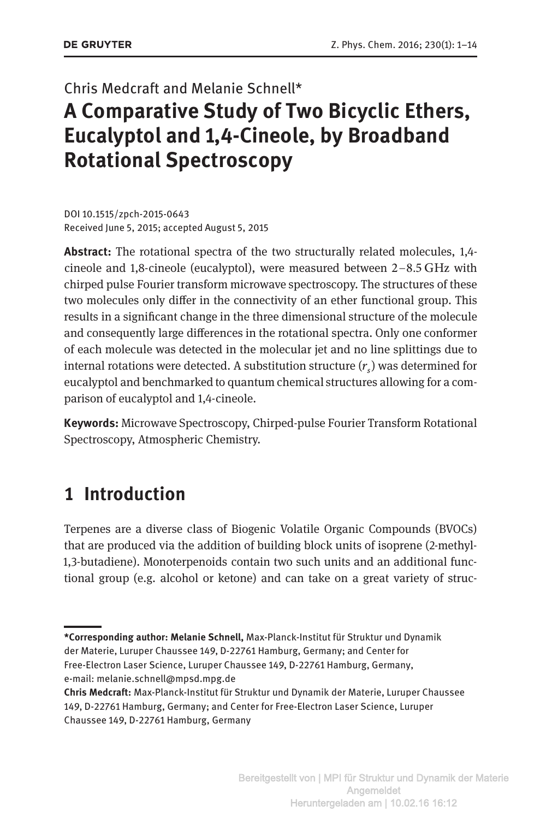# Chris Medcraft and Melanie Schnell\* **A Comparative Study of Two Bicyclic Ethers, Eucalyptol and 1,4-Cineole, by Broadband Rotational Spectroscopy**

DOI 10.1515/zpch-2015-0643 Received June 5, 2015; accepted August 5, 2015

**Abstract:** The rotational spectra of the two structurally related molecules, 1,4 cineole and 1,8-cineole (eucalyptol), were measured between 2–8.5 GHz with chirped pulse Fourier transform microwave spectroscopy. The structures of these two molecules only differ in the connectivity of an ether functional group. This results in a significant change in the three dimensional structure of the molecule and consequently large differences in the rotational spectra. Only one conformer of each molecule was detected in the molecular jet and no line splittings due to internal rotations were detected. A substitution structure  $(r<sub>s</sub>)$  was determined for eucalyptol and benchmarked to quantum chemical structures allowing for a comparison of eucalyptol and 1,4-cineole.

**Keywords:** Microwave Spectroscopy, Chirped-pulse Fourier Transform Rotational Spectroscopy, Atmospheric Chemistry.

## **1 Introduction**

Terpenes are a diverse class of Biogenic Volatile Organic Compounds (BVOCs) that are produced via the addition of building block units of isoprene (2-methyl-1,3-butadiene). Monoterpenoids contain two such units and an additional functional group (e.g. alcohol or ketone) and can take on a great variety of struc-

**<sup>\*</sup>Corresponding author: Melanie Schnell,** Max-Planck-Institut für Struktur und Dynamik der Materie, Luruper Chaussee 149, D-22761 Hamburg, Germany; and Center for Free-Electron Laser Science, Luruper Chaussee 149, D-22761 Hamburg, Germany, e-mail: melanie.schnell@mpsd.mpg.de

**Chris Medcraft:** Max-Planck-Institut für Struktur und Dynamik der Materie, Luruper Chaussee 149, D-22761 Hamburg, Germany; and Center for Free-Electron Laser Science, Luruper Chaussee 149, D-22761 Hamburg, Germany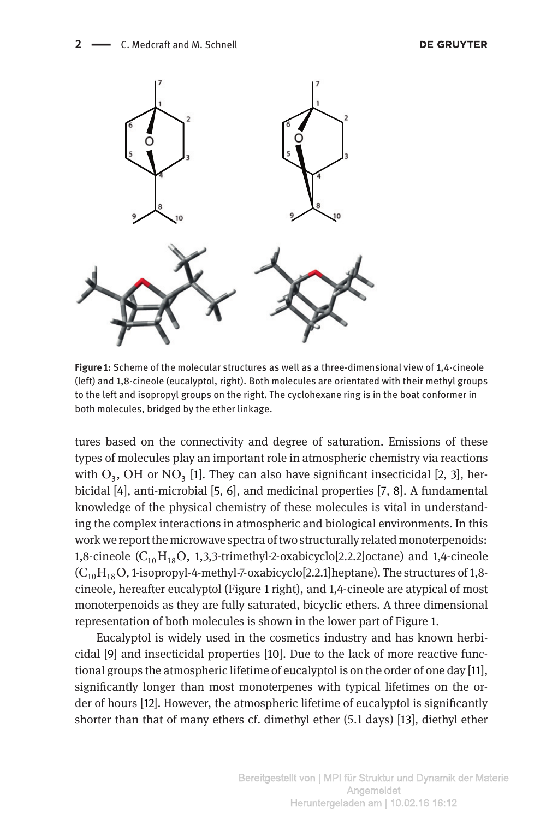

**Figure 1:** Scheme of the molecular structures as well as a three-dimensional view of 1,4-cineole (left) and 1,8-cineole (eucalyptol, right). Both molecules are orientated with their methyl groups to the left and isopropyl groups on the right. The cyclohexane ring is in the boat conformer in both molecules, bridged by the ether linkage.

<span id="page-1-0"></span>tures based on the connectivity and degree of saturation. Emissions of these types of molecules play an important role in atmospheric chemistry via reactions with  $O_3$  $O_3$ , OH or NO<sub>3</sub> [\[1](#page-11-0)]. They can also have significant insecticidal [\[2,](#page-11-1) 3], herbicidal [\[4](#page-11-3)], anti-microbial [\[5,](#page-11-4) [6](#page-11-5)], and medicinal properties [\[7,](#page-11-6) [8](#page-11-7)]. A fundamental knowledge of the physical chemistry of these molecules is vital in understanding the complex interactions in atmospheric and biological environments. In this work we report the microwave spectra of two structurally related monoterpenoids: 1,8-cineole  $(C_{10}H_{18}O, 1,3,3$ -trimethyl-2-oxabicyclo[2.2.2]octane) and 1,4-cineole  $(C_{10}H_{18}O, 1-$ isopropyl-4-methyl-7-oxabicyclo[2.2.1]heptane). The structures of 1,8cineole, hereafter eucalyptol (Figure [1](#page-1-0) right), and 1,4-cineole are atypical of most monoterpenoids as they are fully saturated, bicyclic ethers. A three dimensional representation of both molecules is shown in the lower part of Figure [1.](#page-1-0)

Eucalyptol is widely used in the cosmetics industry and has known herbicidal [\[9\]](#page-11-8) and insecticidal properties [\[10](#page-11-9)]. Due to the lack of more reactive functional groups the atmospheric lifetime of eucalyptol is on the order of one day [\[11\]](#page-11-10), significantly longer than most monoterpenes with typical lifetimes on the order of hours [\[12\]](#page-11-11). However, the atmospheric lifetime of eucalyptol is significantly shorter than that of many ethers cf. dimethyl ether (5.1 days) [\[13](#page-11-12)], diethyl ether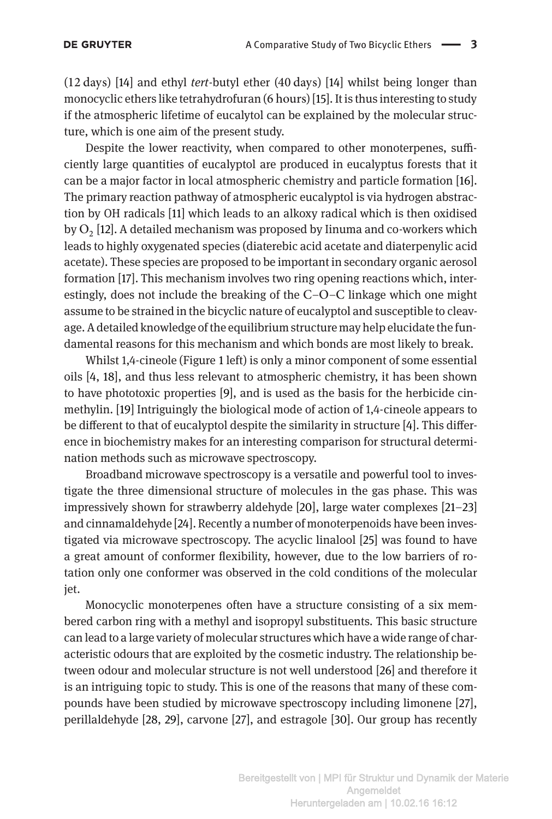(12 days) [\[14](#page-11-13)] and ethyl *tert*-butyl ether (40 days) [\[14\]](#page-11-13) whilst being longer than monocyclic ethers like tetrahydrofuran (6 hours) [\[15\]](#page-11-14). It is thus interesting to study if the atmospheric lifetime of eucalytol can be explained by the molecular structure, which is one aim of the present study.

Despite the lower reactivity, when compared to other monoterpenes, sufficiently large quantities of eucalyptol are produced in eucalyptus forests that it can be a major factor in local atmospheric chemistry and particle formation [\[16\]](#page-11-15). The primary reaction pathway of atmospheric eucalyptol is via hydrogen abstraction by OH radicals [\[11](#page-11-10)] which leads to an alkoxy radical which is then oxidised by  $O<sub>2</sub>$  [\[12\]](#page-11-11). A detailed mechanism was proposed by Iinuma and co-workers which leads to highly oxygenated species (diaterebic acid acetate and diaterpenylic acid acetate). These species are proposed to be important in secondary organic aerosol formation [\[17\]](#page-11-16). This mechanism involves two ring opening reactions which, interestingly, does not include the breaking of the C–O–C linkage which one might assume to be strained in the bicyclic nature of eucalyptol and susceptible to cleavage. A detailed knowledge of the equilibrium structure may help elucidate the fundamental reasons for this mechanism and which bonds are most likely to break.

Whilst 1,4-cineole (Figure [1](#page-1-0) left) is only a minor component of some essential oils [\[4,](#page-11-3) [18](#page-11-17)], and thus less relevant to atmospheric chemistry, it has been shown to have phototoxic properties [\[9\]](#page-11-8), and is used as the basis for the herbicide cinmethylin. [\[19](#page-11-18)] Intriguingly the biological mode of action of 1,4-cineole appears to be different to that of eucalyptol despite the similarity in structure [\[4](#page-11-3)]. This difference in biochemistry makes for an interesting comparison for structural determination methods such as microwave spectroscopy.

Broadband microwave spectroscopy is a versatile and powerful tool to investigate the three dimensional structure of molecules in the gas phase. This was impressively shown for strawberry aldehyde [\[20](#page-12-0)], large water complexes [\[21](#page-12-1)[–23](#page-12-2)] and cinnamaldehyde [\[24\]](#page-12-3). Recently a number of monoterpenoids have been investigated via microwave spectroscopy. The acyclic linalool [\[25\]](#page-12-4) was found to have a great amount of conformer flexibility, however, due to the low barriers of rotation only one conformer was observed in the cold conditions of the molecular jet.

Monocyclic monoterpenes often have a structure consisting of a six membered carbon ring with a methyl and isopropyl substituents. This basic structure can lead to a large variety of molecular structures which have a wide range of characteristic odours that are exploited by the cosmetic industry. The relationship between odour and molecular structure is not well understood [\[26\]](#page-12-5) and therefore it is an intriguing topic to study. This is one of the reasons that many of these compounds have been studied by microwave spectroscopy including limonene [\[27](#page-12-6)], perillaldehyde [\[28,](#page-12-7) [29](#page-12-8)], carvone [\[27](#page-12-6)], and estragole [\[30](#page-12-9)]. Our group has recently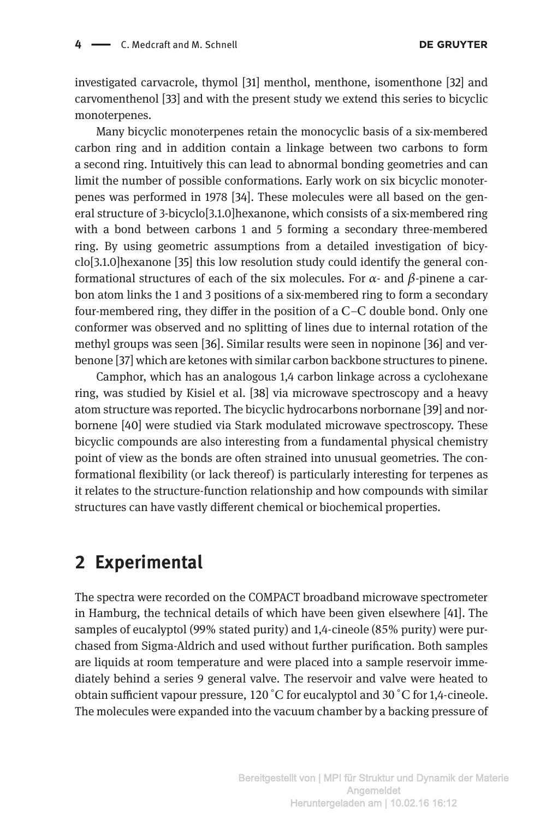investigated carvacrole, thymol [\[31](#page-12-10)] menthol, menthone, isomenthone [\[32\]](#page-12-11) and carvomenthenol [\[33\]](#page-12-12) and with the present study we extend this series to bicyclic monoterpenes.

Many bicyclic monoterpenes retain the monocyclic basis of a six-membered carbon ring and in addition contain a linkage between two carbons to form a second ring. Intuitively this can lead to abnormal bonding geometries and can limit the number of possible conformations. Early work on six bicyclic monoterpenes was performed in 1978 [\[34\]](#page-12-13). These molecules were all based on the general structure of 3-bicyclo[3.1.0]hexanone, which consists of a six-membered ring with a bond between carbons 1 and 5 forming a secondary three-membered ring. By using geometric assumptions from a detailed investigation of bicyclo[3.1.0]hexanone [\[35\]](#page-12-14) this low resolution study could identify the general conformational structures of each of the six molecules. For  $\alpha$ - and  $\beta$ -pinene a carbon atom links the 1 and 3 positions of a six-membered ring to form a secondary four-membered ring, they differ in the position of a C–C double bond. Only one conformer was observed and no splitting of lines due to internal rotation of the methyl groups was seen [\[36\]](#page-12-15). Similar results were seen in nopinone [\[36\]](#page-12-15) and verbenone [\[37\]](#page-12-16) which are ketones with similar carbon backbone structures to pinene.

Camphor, which has an analogous 1,4 carbon linkage across a cyclohexane ring, was studied by Kisiel et al. [\[38](#page-12-17)] via microwave spectroscopy and a heavy atom structure was reported. The bicyclic hydrocarbons norbornane [\[39](#page-12-18)] and norbornene [\[40\]](#page-12-19) were studied via Stark modulated microwave spectroscopy. These bicyclic compounds are also interesting from a fundamental physical chemistry point of view as the bonds are often strained into unusual geometries. The conformational flexibility (or lack thereof) is particularly interesting for terpenes as it relates to the structure-function relationship and how compounds with similar structures can have vastly different chemical or biochemical properties.

### **2 Experimental**

The spectra were recorded on the COMPACT broadband microwave spectrometer in Hamburg, the technical details of which have been given elsewhere [\[41\]](#page-12-20). The samples of eucalyptol (99% stated purity) and 1,4-cineole (85% purity) were purchased from Sigma-Aldrich and used without further purification. Both samples are liquids at room temperature and were placed into a sample reservoir immediately behind a series 9 general valve. The reservoir and valve were heated to obtain sufficient vapour pressure, 120 <sup>∘</sup> C for eucalyptol and 30 <sup>∘</sup> C for 1,4-cineole. The molecules were expanded into the vacuum chamber by a backing pressure of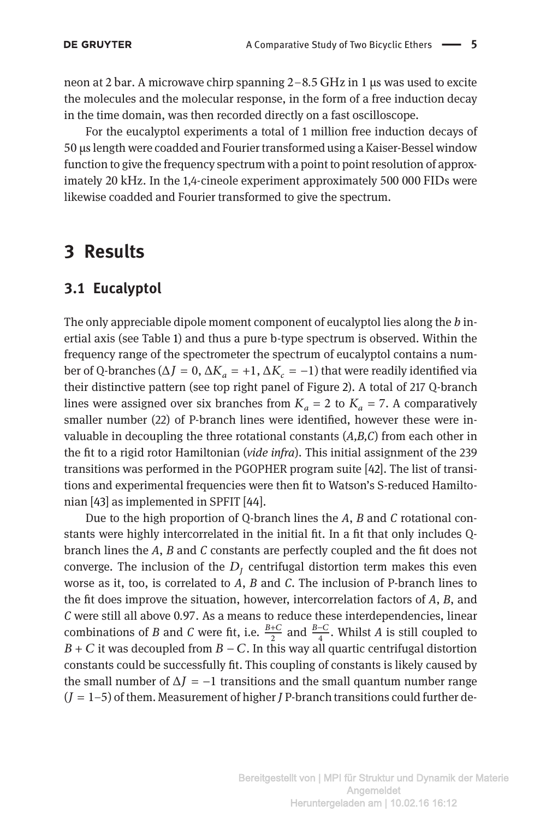neon at 2 bar. A microwave chirp spanning 2–8.5 GHz in 1 μs was used to excite the molecules and the molecular response, in the form of a free induction decay in the time domain, was then recorded directly on a fast oscilloscope.

For the eucalyptol experiments a total of 1 million free induction decays of 50 μslength were coadded and Fourier transformed using a Kaiser-Bessel window function to give the frequency spectrum with a point to point resolution of approximately 20 kHz. In the 1,4-cineole experiment approximately 500 000 FIDs were likewise coadded and Fourier transformed to give the spectrum.

### **3 Results**

#### **3.1 Eucalyptol**

The only appreciable dipole moment component of eucalyptol lies along the *b* inertial axis (see Table [1\)](#page-6-0) and thus a pure b-type spectrum is observed. Within the frequency range of the spectrometer the spectrum of eucalyptol contains a number of Q-branches ( $\Delta J = 0$ ,  $\Delta K_a = +1$ ,  $\Delta K_c = -1$ ) that were readily identified via their distinctive pattern (see top right panel of Figure [2\)](#page-5-0). A total of 217 Q-branch lines were assigned over six branches from  $K_a = 2$  to  $K_a = 7$ . A comparatively smaller number (22) of P-branch lines were identified, however these were invaluable in decoupling the three rotational constants (*A,B,C*) from each other in the fit to a rigid rotor Hamiltonian (*vide infra*). This initial assignment of the 239 transitions was performed in the PGOPHER program suite [\[42](#page-12-21)]. The list of transitions and experimental frequencies were then fit to Watson's S-reduced Hamiltonian [\[43](#page-12-22)] as implemented in SPFIT [\[44\]](#page-12-23).

Due to the high proportion of Q-branch lines the *A*, *B* and *C* rotational constants were highly intercorrelated in the initial fit. In a fit that only includes Qbranch lines the *A*, *B* and *C* constants are perfectly coupled and the fit does not converge. The inclusion of the  $D<sub>I</sub>$  centrifugal distortion term makes this even worse as it, too, is correlated to *A*, *B* and *C*. The inclusion of P-branch lines to the fit does improve the situation, however, intercorrelation factors of *A*, *B*, and *C* were still all above 0.97. As a means to reduce these interdependencies, linear combinations of *B* and *C* were fit, i.e.  $\frac{B+C}{2}$  and  $\frac{B-C}{4}$ . Whilst *A* is still coupled to  $B + C$  it was decoupled from  $B - C$ . In this way all quartic centrifugal distortion constants could be successfully fit. This coupling of constants is likely caused by the small number of  $\Delta J = -1$  transitions and the small quantum number range  $(J = 1-5)$  of them. Measurement of higher *J* P-branch transitions could further de-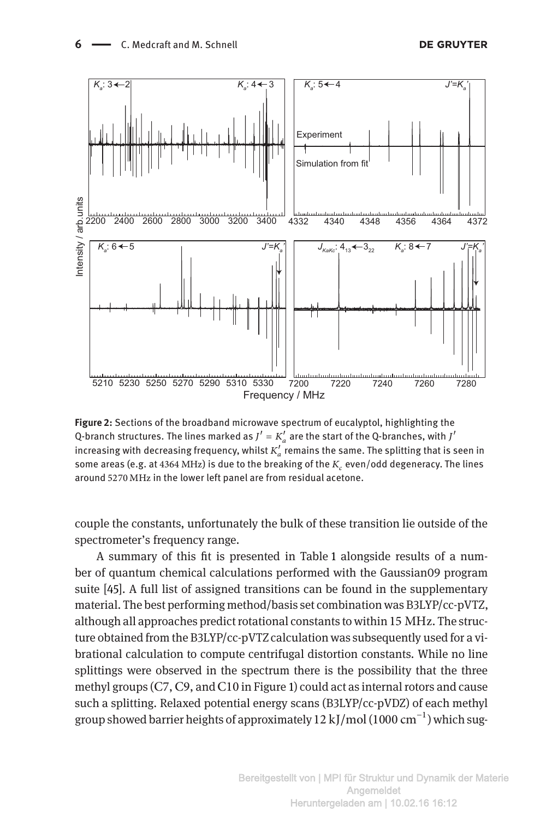

**Figure 2:** Sections of the broadband microwave spectrum of eucalyptol, highlighting the Q-branch structures. The lines marked as  $J' = K'_a$  are the start of the Q-branches, with  $J'$ increasing with decreasing frequency, whilst  $K_a^{\prime}$  remains the same. The splitting that is seen in some areas (e.g. at 4364 MHz) is due to the breaking of the  $K_c$  even/odd degeneracy. The lines around 5270 MHz in the lower left panel are from residual acetone.

<span id="page-5-0"></span>couple the constants, unfortunately the bulk of these transition lie outside of the spectrometer's frequency range.

A summary of this fit is presented in Table [1](#page-6-0) alongside results of a number of quantum chemical calculations performed with the Gaussian09 program suite [\[45\]](#page-12-24). A full list of assigned transitions can be found in the supplementary material. The best performing method/basis set combination was B3LYP/cc-pVTZ, although all approaches predict rotational constants to within 15 MHz. The structure obtained from the B3LYP/cc-pVTZ calculation was subsequently used for a vibrational calculation to compute centrifugal distortion constants. While no line splittings were observed in the spectrum there is the possibility that the three methyl groups (C7, C9, and C10 in Figure [1\)](#page-1-0) could act as internal rotors and cause such a splitting. Relaxed potential energy scans (B3LYP/cc-pVDZ) of each methyl group showed barrier heights of approximately  $12 \text{ kJ/mol}$  (1000 cm<sup>-1</sup>) which sug-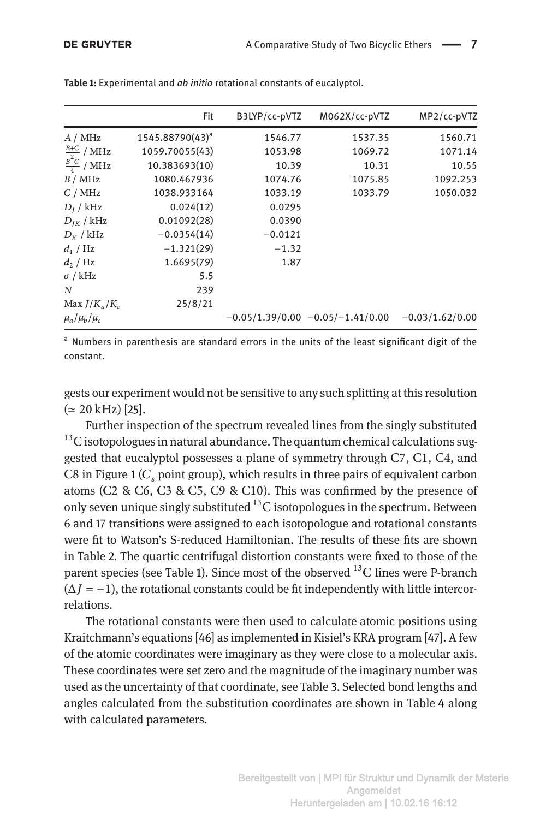|                       | Fit                         | B3LYP/cc-pVTZ | M062X/cc-pVTZ                      | MP2/cc-pVTZ       |
|-----------------------|-----------------------------|---------------|------------------------------------|-------------------|
| A / MHz               | 1545.88790(43) <sup>a</sup> | 1546.77       | 1537.35                            | 1560.71           |
| $\frac{B+C}{2}$ / MHz | 1059.70055(43)              | 1053.98       | 1069.72                            | 1071.14           |
| $\frac{B-C}{4}$ / MHz | 10.383693(10)               | 10.39         | 10.31                              | 10.55             |
| B / MHz               | 1080.467936                 | 1074.76       | 1075.85                            | 1092.253          |
| C/MHz                 | 1038.933164                 | 1033.19       | 1033.79                            | 1050.032          |
| $D_I$ / kHz           | 0.024(12)                   | 0.0295        |                                    |                   |
| $D_{IK}$ / kHz        | 0.01092(28)                 | 0.0390        |                                    |                   |
| $D_K$ / kHz           | $-0.0354(14)$               | $-0.0121$     |                                    |                   |
| $d_1/Hz$              | $-1.321(29)$                | $-1.32$       |                                    |                   |
| $d_2/Hz$              | 1.6695(79)                  | 1.87          |                                    |                   |
| $\sigma$ / kHz        | 5.5                         |               |                                    |                   |
| N                     | 239                         |               |                                    |                   |
| Max $J/K_a/K_c$       | 25/8/21                     |               |                                    |                   |
| $\mu_a/\mu_b/\mu_c$   |                             |               | $-0.05/1.39/0.00 -0.05/-1.41/0.00$ | $-0.03/1.62/0.00$ |
|                       |                             |               |                                    |                   |

**Table 1:** Experimental and *ab initio* rotational constants of eucalyptol.

<span id="page-6-0"></span><sup>a</sup> Numbers in parenthesis are standard errors in the units of the least significant digit of the constant.

gests our experiment would not be sensitive to any such splitting at this resolution  $(≈ 20 kHz)$  [\[25](#page-12-4)].

Further inspection of the spectrum revealed lines from the singly substituted  $^{13}$ C isotopologues in natural abundance. The quantum chemical calculations suggested that eucalyptol possesses a plane of symmetry through C7, C1, C4, and C8 in Figure [1](#page-1-0) ( $C<sub>s</sub>$  point group), which results in three pairs of equivalent carbon atoms (C2 & C6, C3 & C5, C9 & C10). This was confirmed by the presence of only seven unique singly substituted  $^{13}$ C isotopologues in the spectrum. Between 6 and 17 transitions were assigned to each isotopologue and rotational constants were fit to Watson's S-reduced Hamiltonian. The results of these fits are shown in Table [2.](#page-7-0) The quartic centrifugal distortion constants were fixed to those of the parent species (see Table [1\)](#page-6-0). Since most of the observed  $^{13}$ C lines were P-branch  $(\Delta I = -1)$ , the rotational constants could be fit independently with little intercorrelations.

The rotational constants were then used to calculate atomic positions using Kraitchmann's equations [\[46](#page-13-0)] as implemented in Kisiel's KRA program [\[47\]](#page-13-1). A few of the atomic coordinates were imaginary as they were close to a molecular axis. These coordinates were set zero and the magnitude of the imaginary number was used as the uncertainty of that coordinate, see Table [3.](#page-7-1) Selected bond lengths and angles calculated from the substitution coordinates are shown in Table [4](#page-8-0) along with calculated parameters.

> Bereitgestellt von | MPI für Struktur und Dynamik der Materie Angemeldet Heruntergeladen am | 10.02.16 16:12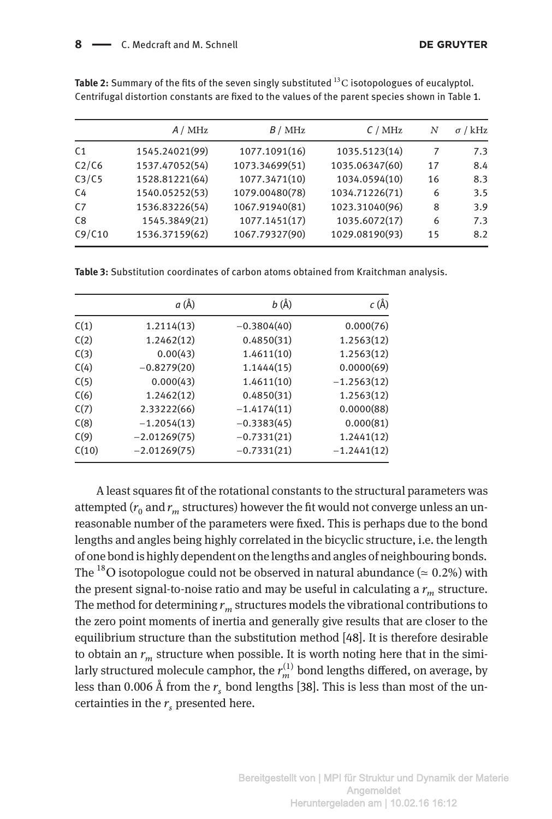|                | A / MHz        | B / MHz        | C/MHz          | N  | $\sigma$ / kHz |
|----------------|----------------|----------------|----------------|----|----------------|
| C <sub>1</sub> | 1545.24021(99) | 1077.1091(16)  | 1035.5123(14)  |    | 7.3            |
| C2/C6          | 1537.47052(54) | 1073.34699(51) | 1035.06347(60) | 17 | 8.4            |
| C3/C5          | 1528.81221(64) | 1077.3471(10)  | 1034.0594(10)  | 16 | 8.3            |
| C4             | 1540.05252(53) | 1079.00480(78) | 1034.71226(71) | 6  | 3.5            |
| C <sub>7</sub> | 1536.83226(54) | 1067.91940(81) | 1023.31040(96) | 8  | 3.9            |
| C8             | 1545.3849(21)  | 1077.1451(17)  | 1035.6072(17)  | 6  | 7.3            |
| C9/C10         | 1536.37159(62) | 1067.79327(90) | 1029.08190(93) | 15 | 8.2            |

**Table 2:** Summary of the fits of the seven singly substituted <sup>13</sup>C isotopologues of eucalyptol. Centrifugal distortion constants are fixed to the values of the parent species shown in Table [1.](#page-6-0)

<span id="page-7-0"></span>**Table 3:** Substitution coordinates of carbon atoms obtained from Kraitchman analysis.

|       | a (Å)          | <i>b</i> (Å)  | c (Å)         |
|-------|----------------|---------------|---------------|
| C(1)  | 1.2114(13)     | $-0.3804(40)$ | 0.000(76)     |
| C(2)  | 1.2462(12)     | 0.4850(31)    | 1.2563(12)    |
| C(3)  | 0.00(43)       | 1.4611(10)    | 1.2563(12)    |
| C(4)  | $-0.8279(20)$  | 1.1444(15)    | 0.0000(69)    |
| C(5)  | 0.000(43)      | 1.4611(10)    | $-1.2563(12)$ |
| C(6)  | 1.2462(12)     | 0.4850(31)    | 1.2563(12)    |
| C(7)  | 2.33222(66)    | $-1.4174(11)$ | 0.0000(88)    |
| C(8)  | $-1.2054(13)$  | $-0.3383(45)$ | 0.000(81)     |
| C(9)  | $-2.01269(75)$ | $-0.7331(21)$ | 1.2441(12)    |
| C(10) | $-2.01269(75)$ | $-0.7331(21)$ | $-1.2441(12)$ |

<span id="page-7-1"></span>A least squares fit of the rotational constants to the structural parameters was attempted  $(r_0$  and  $r_m$  structures) however the fit would not converge unless an unreasonable number of the parameters were fixed. This is perhaps due to the bond lengths and angles being highly correlated in the bicyclic structure, i.e. the length of one bond is highly dependent on the lengths and angles of neighbouring bonds. The <sup>18</sup>O isotopologue could not be observed in natural abundance ( $\simeq 0.2\%$ ) with the present signal-to-noise ratio and may be useful in calculating a  $r_m$  structure. The method for determining  $r_m$  structures models the vibrational contributions to the zero point moments of inertia and generally give results that are closer to the equilibrium structure than the substitution method [\[48\]](#page-13-2). It is therefore desirable to obtain an  $r_m$  structure when possible. It is worth noting here that in the similarly structured molecule camphor, the  $r_m^{(1)}$  bond lengths differed, on average, by less than 0.006 Å from the  $r_s$  bond lengths [\[38\]](#page-12-17). This is less than most of the uncertainties in the  $r_s$  presented here.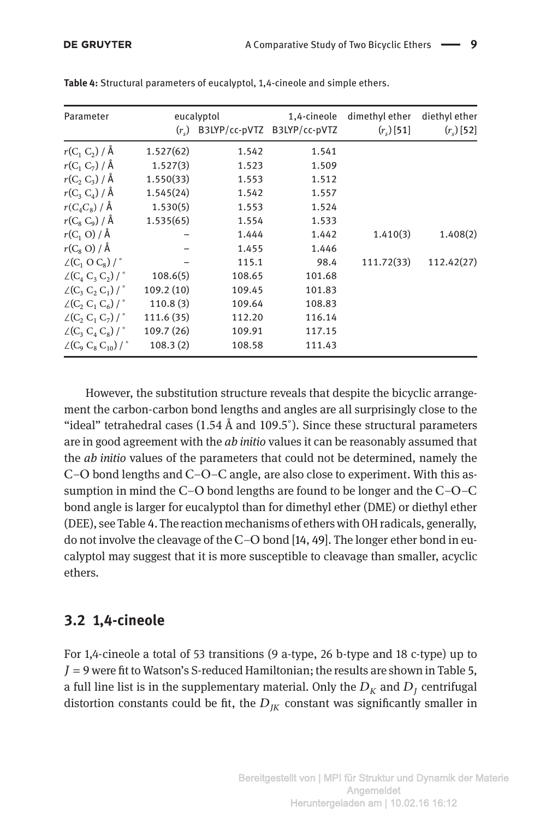| Parameter                                                                |            | eucalyptol                         | 1,4-cineole | dimethyl ether | diethyl ether |
|--------------------------------------------------------------------------|------------|------------------------------------|-------------|----------------|---------------|
|                                                                          |            | $(rs)$ B3LYP/cc-pVTZ B3LYP/cc-pVTZ |             | $(r_s)$ [51]   | $(r_s)$ [52]  |
| $r(C_1 C_2) / \mathring{A}$                                              | 1.527(62)  | 1.542                              | 1.541       |                |               |
| $r(C_1 C_7) / \AA$                                                       | 1.527(3)   | 1.523                              | 1.509       |                |               |
| $r(C_2 C_3) / \AA$                                                       | 1.550(33)  | 1.553                              | 1.512       |                |               |
| $r(C_3 C_4) / \AA$                                                       | 1.545(24)  | 1.542                              | 1.557       |                |               |
| $r(C_4C_8)/\overset{1}{\mathsf{A}}$                                      | 1.530(5)   | 1.553                              | 1.524       |                |               |
| $r(C_8 C_9) / \AA$                                                       | 1.535(65)  | 1.554                              | 1.533       |                |               |
| $r(C_1 \text{ O}) / \AA$                                                 |            | 1.444                              | 1.442       | 1.410(3)       | 1.408(2)      |
| $r(C_8 O)/\AA$                                                           |            | 1.455                              | 1.446       |                |               |
| $\angle(C_1 \odot C_8)$ / $\degree$                                      |            | 115.1                              | 98.4        | 111.72(33)     | 112.42(27)    |
| $\angle(C_4 C_3 C_2)$                                                    | 108.6(5)   | 108.65                             | 101.68      |                |               |
| $\angle$ (C <sub>3</sub> C <sub>2</sub> C <sub>1</sub> ) / $\degree$     | 109.2(10)  | 109.45                             | 101.83      |                |               |
| $\angle(C, C, C_6)$                                                      | 110.8(3)   | 109.64                             | 108.83      |                |               |
| $\angle$ (C <sub>2</sub> , C <sub>1</sub> , C <sub>7</sub> ) / $\degree$ | 111.6 (35) | 112.20                             | 116.14      |                |               |
| $\angle$ (C <sub>3</sub> C <sub>4</sub> C <sub>8</sub> )/ $\degree$      | 109.7 (26) | 109.91                             | 117.15      |                |               |
| $\angle(C_9 C_8 C_{10})$ / $\degree$                                     | 108.3(2)   | 108.58                             | 111.43      |                |               |

**Table 4:** Structural parameters of eucalyptol, 1,4-cineole and simple ethers.

<span id="page-8-0"></span>However, the substitution structure reveals that despite the bicyclic arrangement the carbon-carbon bond lengths and angles are all surprisingly close to the "ideal" tetrahedral cases (1.54 Å and 109.5°). Since these structural parameters are in good agreement with the *ab initio* values it can be reasonably assumed that the *ab initio* values of the parameters that could not be determined, namely the C–O bond lengths and C–O–C angle, are also close to experiment. With this assumption in mind the C–O bond lengths are found to be longer and the C–O–C bond angle is larger for eucalyptol than for dimethyl ether (DME) or diethyl ether (DEE), see Table [4.](#page-8-0) The reaction mechanisms of ethers with OH radicals, generally, do not involve the cleavage of the C–O bond [\[14,](#page-11-13) [49\]](#page-13-5). The longer ether bond in eucalyptol may suggest that it is more susceptible to cleavage than smaller, acyclic ethers.

#### **3.2 1,4-cineole**

For 1,4-cineole a total of 53 transitions (9 a-type, 26 b-type and 18 c-type) up to  $J=9$  were fit to Watson's S-reduced Hamiltonian; the results are shown in Table [5,](#page-10-0) a full line list is in the supplementary material. Only the  $D<sub>K</sub>$  and  $D<sub>I</sub>$  centrifugal distortion constants could be fit, the  $D_{IK}$  constant was significantly smaller in

> Bereitgestellt von | MPI für Struktur und Dynamik der Materie Angemeldet Heruntergeladen am | 10.02.16 16:12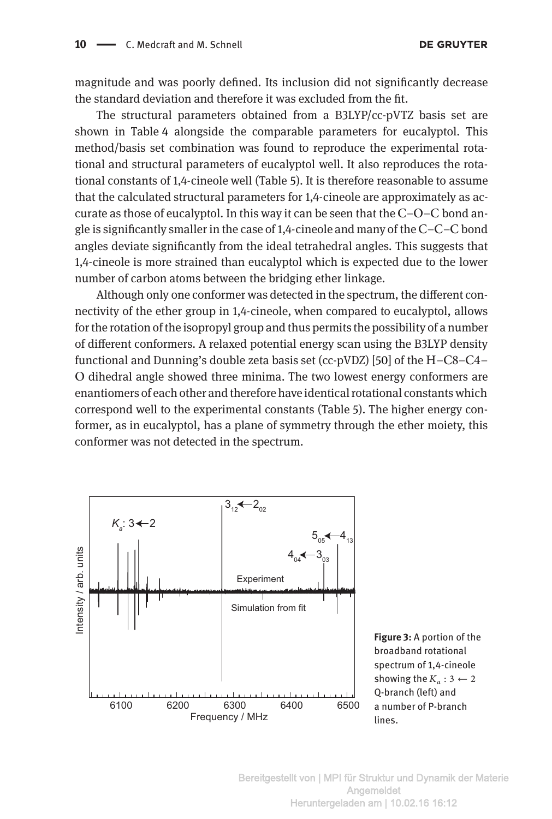magnitude and was poorly defined. Its inclusion did not significantly decrease the standard deviation and therefore it was excluded from the fit.

The structural parameters obtained from a B3LYP/cc-pVTZ basis set are shown in Table [4](#page-8-0) alongside the comparable parameters for eucalyptol. This method/basis set combination was found to reproduce the experimental rotational and structural parameters of eucalyptol well. It also reproduces the rotational constants of 1,4-cineole well (Table [5\)](#page-10-0). It is therefore reasonable to assume that the calculated structural parameters for 1,4-cineole are approximately as accurate as those of eucalyptol. In this way it can be seen that the  $C-O-C$  bond angle is significantly smaller in the case of  $1,4$ -cineole and many of the C–C–C bond angles deviate significantly from the ideal tetrahedral angles. This suggests that 1,4-cineole is more strained than eucalyptol which is expected due to the lower number of carbon atoms between the bridging ether linkage.

Although only one conformer was detected in the spectrum, the different connectivity of the ether group in 1,4-cineole, when compared to eucalyptol, allows for the rotation of the isopropyl group and thus permits the possibility of a number of different conformers. A relaxed potential energy scan using the B3LYP density functional and Dunning's double zeta basis set (cc-pVDZ) [\[50\]](#page-13-6) of the H–C8–C4– O dihedral angle showed three minima. The two lowest energy conformers are enantiomers of each other and therefore have identical rotational constants which correspond well to the experimental constants (Table [5\)](#page-10-0). The higher energy conformer, as in eucalyptol, has a plane of symmetry through the ether moiety, this conformer was not detected in the spectrum.

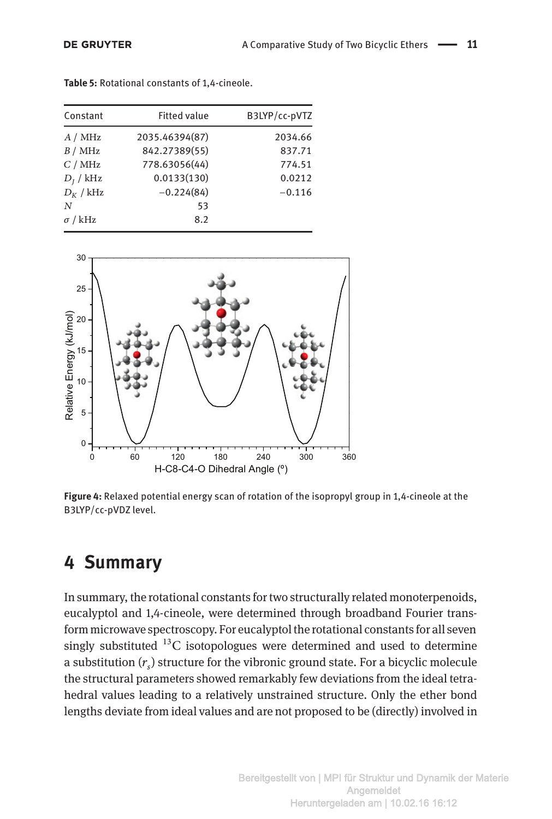| Constant       | <b>Fitted value</b> | B3LYP/cc-pVTZ |
|----------------|---------------------|---------------|
| A / MHz        | 2035.46394(87)      | 2034.66       |
| B / MHz        | 842.27389(55)       | 837.71        |
| C/MHz          | 778.63056(44)       | 774.51        |
| $D_I$ / kHz    | 0.0133(130)         | 0.0212        |
| $D_K$ / kHz    | $-0.224(84)$        | $-0.116$      |
| N              | 53                  |               |
| $\sigma$ / kHz | 8.2                 |               |

**Table 5:** Rotational constants of 1,4-cineole.

<span id="page-10-0"></span>

**Figure 4:** Relaxed potential energy scan of rotation of the isopropyl group in 1,4-cineole at the B3LYP/cc-pVDZ level.

## **4 Summary**

In summary, the rotational constants for two structurally related monoterpenoids, eucalyptol and 1,4-cineole, were determined through broadband Fourier transform microwave spectroscopy. For eucalyptol the rotational constants for all seven singly substituted  $^{13}$ C isotopologues were determined and used to determine a substitution  $(r<sub>c</sub>)$  structure for the vibronic ground state. For a bicyclic molecule the structural parameters showed remarkably few deviations from the ideal tetrahedral values leading to a relatively unstrained structure. Only the ether bond lengths deviate from ideal values and are not proposed to be (directly) involved in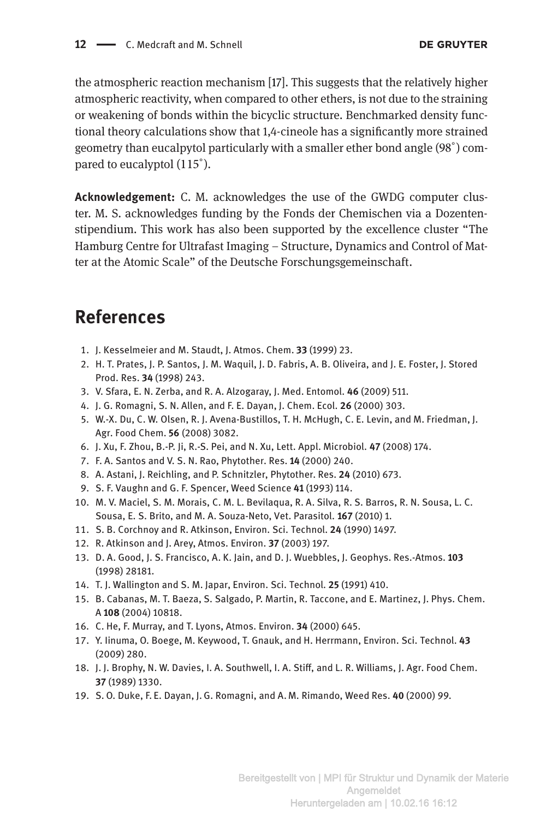the atmospheric reaction mechanism [\[17](#page-11-16)]. This suggests that the relatively higher atmospheric reactivity, when compared to other ethers, is not due to the straining or weakening of bonds within the bicyclic structure. Benchmarked density functional theory calculations show that 1,4-cineole has a significantly more strained geometry than eucalpytol particularly with a smaller ether bond angle (98°) compared to eucalyptol (115°).

**Acknowledgement:** C. M. acknowledges the use of the GWDG computer cluster. M. S. acknowledges funding by the Fonds der Chemischen via a Dozentenstipendium. This work has also been supported by the excellence cluster "The Hamburg Centre for Ultrafast Imaging – Structure, Dynamics and Control of Matter at the Atomic Scale" of the Deutsche Forschungsgemeinschaft.

## **References**

- <span id="page-11-0"></span>1. J. Kesselmeier and M. Staudt, J. Atmos. Chem. **33** (1999) 23.
- <span id="page-11-1"></span>2. H. T. Prates, J. P. Santos, J. M. Waquil, J. D. Fabris, A. B. Oliveira, and J. E. Foster, J. Stored Prod. Res. **34** (1998) 243.
- <span id="page-11-2"></span>3. V. Sfara, E. N. Zerba, and R. A. Alzogaray, J. Med. Entomol. **46** (2009) 511.
- <span id="page-11-3"></span>4. J. G. Romagni, S. N. Allen, and F. E. Dayan, J. Chem. Ecol. **26** (2000) 303.
- <span id="page-11-4"></span>5. W.-X. Du, C. W. Olsen, R. J. Avena-Bustillos, T. H. McHugh, C. E. Levin, and M. Friedman, J. Agr. Food Chem. **56** (2008) 3082.
- <span id="page-11-5"></span>6. J. Xu, F. Zhou, B.-P. Ji, R.-S. Pei, and N. Xu, Lett. Appl. Microbiol. **47** (2008) 174.
- <span id="page-11-6"></span>7. F. A. Santos and V. S. N. Rao, Phytother. Res. **14** (2000) 240.
- <span id="page-11-7"></span>8. A. Astani, J. Reichling, and P. Schnitzler, Phytother. Res. **24** (2010) 673.
- <span id="page-11-8"></span>9. S. F. Vaughn and G. F. Spencer, Weed Science **41** (1993) 114.
- <span id="page-11-9"></span>10. M. V. Maciel, S. M. Morais, C. M. L. Bevilaqua, R. A. Silva, R. S. Barros, R. N. Sousa, L. C. Sousa, E. S. Brito, and M. A. Souza-Neto, Vet. Parasitol. **167** (2010) 1.
- <span id="page-11-10"></span>11. S. B. Corchnoy and R. Atkinson, Environ. Sci. Technol. **24** (1990) 1497.
- <span id="page-11-11"></span>12. R. Atkinson and J. Arey, Atmos. Environ. **37** (2003) 197.
- <span id="page-11-12"></span>13. D. A. Good, J. S. Francisco, A. K. Jain, and D. J. Wuebbles, J. Geophys. Res.-Atmos. **103** (1998) 28181.
- <span id="page-11-13"></span>14. T. J. Wallington and S. M. Japar, Environ. Sci. Technol. **25** (1991) 410.
- <span id="page-11-14"></span>15. B. Cabanas, M. T. Baeza, S. Salgado, P. Martin, R. Taccone, and E. Martinez, J. Phys. Chem. A **108** (2004) 10818.
- <span id="page-11-15"></span>16. C. He, F. Murray, and T. Lyons, Atmos. Environ. **34** (2000) 645.
- <span id="page-11-16"></span>17. Y. Iinuma, O. Boege, M. Keywood, T. Gnauk, and H. Herrmann, Environ. Sci. Technol. **43** (2009) 280.
- <span id="page-11-17"></span>18. J. J. Brophy, N. W. Davies, I. A. Southwell, I. A. Stiff, and L. R. Williams, J. Agr. Food Chem. **37** (1989) 1330.
- <span id="page-11-18"></span>19. S. O. Duke, F. E. Dayan, J. G. Romagni, and A. M. Rimando, Weed Res. **40** (2000) 99.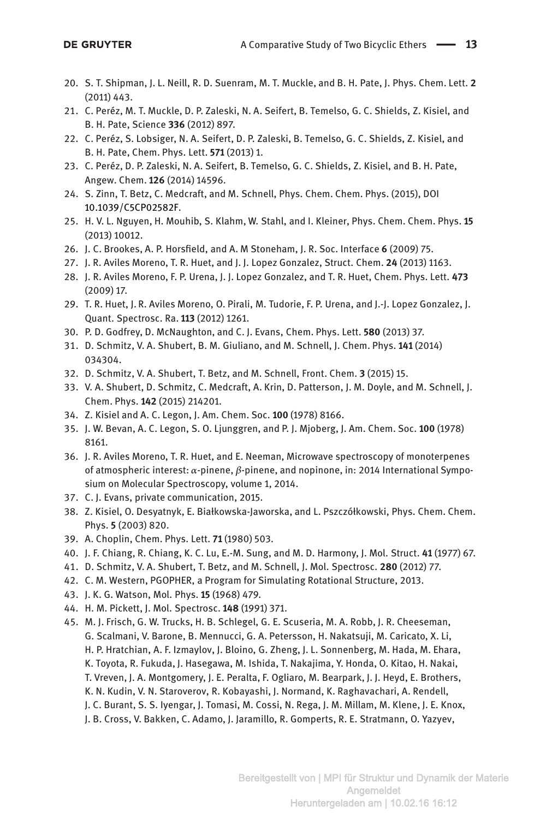- <span id="page-12-0"></span>20. S. T. Shipman, J. L. Neill, R. D. Suenram, M. T. Muckle, and B. H. Pate, J. Phys. Chem. Lett. **2** (2011) 443.
- <span id="page-12-1"></span>21. C. Peréz, M. T. Muckle, D. P. Zaleski, N. A. Seifert, B. Temelso, G. C. Shields, Z. Kisiel, and B. H. Pate, Science **336** (2012) 897.
- 22. C. Peréz, S. Lobsiger, N. A. Seifert, D. P. Zaleski, B. Temelso, G. C. Shields, Z. Kisiel, and B. H. Pate, Chem. Phys. Lett. **571** (2013) 1.
- <span id="page-12-2"></span>23. C. Peréz, D. P. Zaleski, N. A. Seifert, B. Temelso, G. C. Shields, Z. Kisiel, and B. H. Pate, Angew. Chem. **126** (2014) 14596.
- <span id="page-12-3"></span>24. S. Zinn, T. Betz, C. Medcraft, and M. Schnell, Phys. Chem. Chem. Phys. (2015), DOI [10.1039/C5CP02582F.](http://dx.doi.org/10.1039/C5CP02582F)
- <span id="page-12-4"></span>25. H. V. L. Nguyen, H. Mouhib, S. Klahm, W. Stahl, and I. Kleiner, Phys. Chem. Chem. Phys. **15** (2013) 10012.
- <span id="page-12-5"></span>26. J. C. Brookes, A. P. Horsfield, and A. M Stoneham, J. R. Soc. Interface **6** (2009) 75.
- <span id="page-12-6"></span>27. J. R. Aviles Moreno, T. R. Huet, and J. J. Lopez Gonzalez, Struct. Chem. **24** (2013) 1163.
- <span id="page-12-7"></span>28. J. R. Aviles Moreno, F. P. Urena, J. J. Lopez Gonzalez, and T. R. Huet, Chem. Phys. Lett. **473** (2009) 17.
- <span id="page-12-8"></span>29. T. R. Huet, J. R. Aviles Moreno, O. Pirali, M. Tudorie, F. P. Urena, and J.-J. Lopez Gonzalez, J. Quant. Spectrosc. Ra. **113** (2012) 1261.
- <span id="page-12-9"></span>30. P. D. Godfrey, D. McNaughton, and C. J. Evans, Chem. Phys. Lett. **580** (2013) 37.
- <span id="page-12-10"></span>31. D. Schmitz, V. A. Shubert, B. M. Giuliano, and M. Schnell, J. Chem. Phys. **141** (2014) 034304.
- <span id="page-12-11"></span>32. D. Schmitz, V. A. Shubert, T. Betz, and M. Schnell, Front. Chem. **3** (2015) 15.
- <span id="page-12-12"></span>33. V. A. Shubert, D. Schmitz, C. Medcraft, A. Krin, D. Patterson, J. M. Doyle, and M. Schnell, J. Chem. Phys. **142** (2015) 214201.
- <span id="page-12-13"></span>34. Z. Kisiel and A. C. Legon, J. Am. Chem. Soc. **100** (1978) 8166.
- <span id="page-12-14"></span>35. J. W. Bevan, A. C. Legon, S. O. Ljunggren, and P. J. Mjoberg, J. Am. Chem. Soc. **100** (1978) 8161.
- <span id="page-12-15"></span>36. J. R. Aviles Moreno, T. R. Huet, and E. Neeman, Microwave spectroscopy of monoterpenes of atmospheric interest:  $\alpha$ -pinene,  $\beta$ -pinene, and nopinone, in: 2014 International Symposium on Molecular Spectroscopy, volume 1, 2014.
- <span id="page-12-16"></span>37. C. J. Evans, private communication, 2015.
- <span id="page-12-17"></span>38. Z. Kisiel, O. Desyatnyk, E. Białkowska-Jaworska, and L. Pszczółkowski, Phys. Chem. Chem. Phys. **5** (2003) 820.
- <span id="page-12-18"></span>39. A. Choplin, Chem. Phys. Lett. **71** (1980) 503.
- <span id="page-12-19"></span>40. J. F. Chiang, R. Chiang, K. C. Lu, E.-M. Sung, and M. D. Harmony, J. Mol. Struct. **41** (1977) 67.
- <span id="page-12-20"></span>41. D. Schmitz, V. A. Shubert, T. Betz, and M. Schnell, J. Mol. Spectrosc. **280** (2012) 77.
- <span id="page-12-21"></span>42. C. M. Western, PGOPHER, a Program for Simulating Rotational Structure, 2013.
- <span id="page-12-22"></span>43. J. K. G. Watson, Mol. Phys. **15** (1968) 479.
- <span id="page-12-23"></span>44. H. M. Pickett, J. Mol. Spectrosc. **148** (1991) 371.
- <span id="page-12-24"></span>45. M. J. Frisch, G. W. Trucks, H. B. Schlegel, G. E. Scuseria, M. A. Robb, J. R. Cheeseman, G. Scalmani, V. Barone, B. Mennucci, G. A. Petersson, H. Nakatsuji, M. Caricato, X. Li, H. P. Hratchian, A. F. Izmaylov, J. Bloino, G. Zheng, J. L. Sonnenberg, M. Hada, M. Ehara, K. Toyota, R. Fukuda, J. Hasegawa, M. Ishida, T. Nakajima, Y. Honda, O. Kitao, H. Nakai, T. Vreven, J. A. Montgomery, J. E. Peralta, F. Ogliaro, M. Bearpark, J. J. Heyd, E. Brothers, K. N. Kudin, V. N. Staroverov, R. Kobayashi, J. Normand, K. Raghavachari, A. Rendell, J. C. Burant, S. S. Iyengar, J. Tomasi, M. Cossi, N. Rega, J. M. Millam, M. Klene, J. E. Knox, J. B. Cross, V. Bakken, C. Adamo, J. Jaramillo, R. Gomperts, R. E. Stratmann, O. Yazyev,